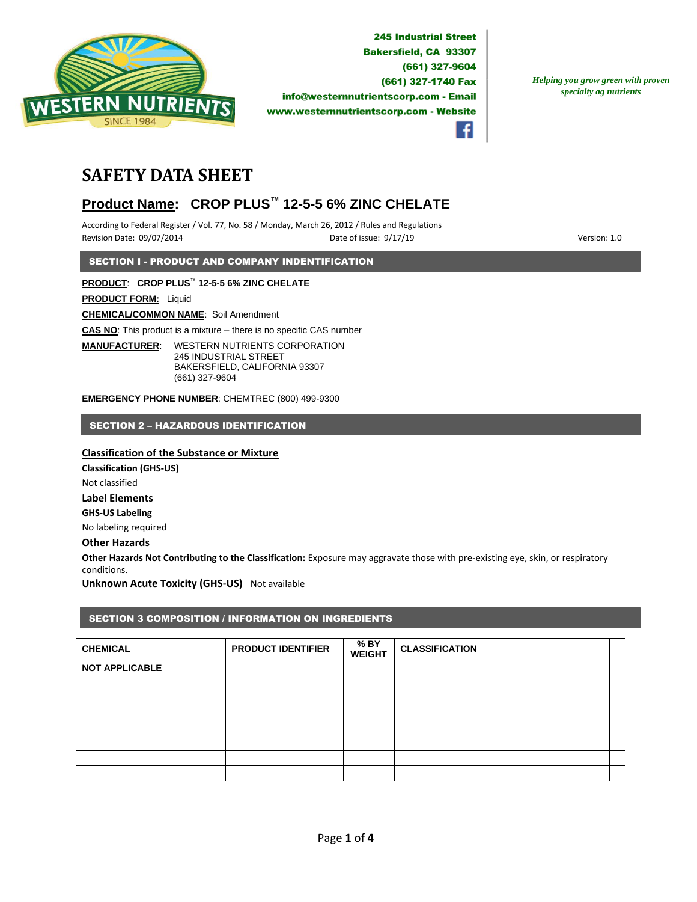

*Helping you grow green with proven specialty ag nutrients*



# **SAFETY DATA SHEET**

# **Product Name: CROP PLUS™ 12-5-5 6% ZINC CHELATE**

According to Federal Register / Vol. 77, No. 58 / Monday, March 26, 2012 / Rules and Regulations Revision Date: 09/07/2014 **Date of issue: 9/17/19** Particle of issue: 9/17/19 **Particle of issue: 9/17/19** Version: 1.0

SECTION I - PRODUCT AND COMPANY INDENTIFICATION

**PRODUCT**: **CROP PLUS™ 12-5-5 6% ZINC CHELATE**

**PRODUCT FORM:** Liquid

**CHEMICAL/COMMON NAME**: Soil Amendment

**CAS NO**: This product is a mixture – there is no specific CAS number

**MANUFACTURER**: WESTERN NUTRIENTS CORPORATION 245 INDUSTRIAL STREET BAKERSFIELD, CALIFORNIA 93307 (661) 327-9604

**EMERGENCY PHONE NUMBER**: CHEMTREC (800) 499-9300

SECTION 2 – HAZARDOUS IDENTIFICATION

# **Classification of the Substance or Mixture**

**Classification (GHS-US)** Not classified **Label Elements GHS-US Labeling** No labeling required

# **Other Hazards**

**Other Hazards Not Contributing to the Classification:** Exposure may aggravate those with pre-existing eye, skin, or respiratory conditions.

**Unknown Acute Toxicity (GHS-US)** Not available

# SECTION 3 COMPOSITION / INFORMATION ON INGREDIENTS

| <b>CHEMICAL</b>       | <b>PRODUCT IDENTIFIER</b> | % BY<br><b>WEIGHT</b> | <b>CLASSIFICATION</b> |  |
|-----------------------|---------------------------|-----------------------|-----------------------|--|
| <b>NOT APPLICABLE</b> |                           |                       |                       |  |
|                       |                           |                       |                       |  |
|                       |                           |                       |                       |  |
|                       |                           |                       |                       |  |
|                       |                           |                       |                       |  |
|                       |                           |                       |                       |  |
|                       |                           |                       |                       |  |
|                       |                           |                       |                       |  |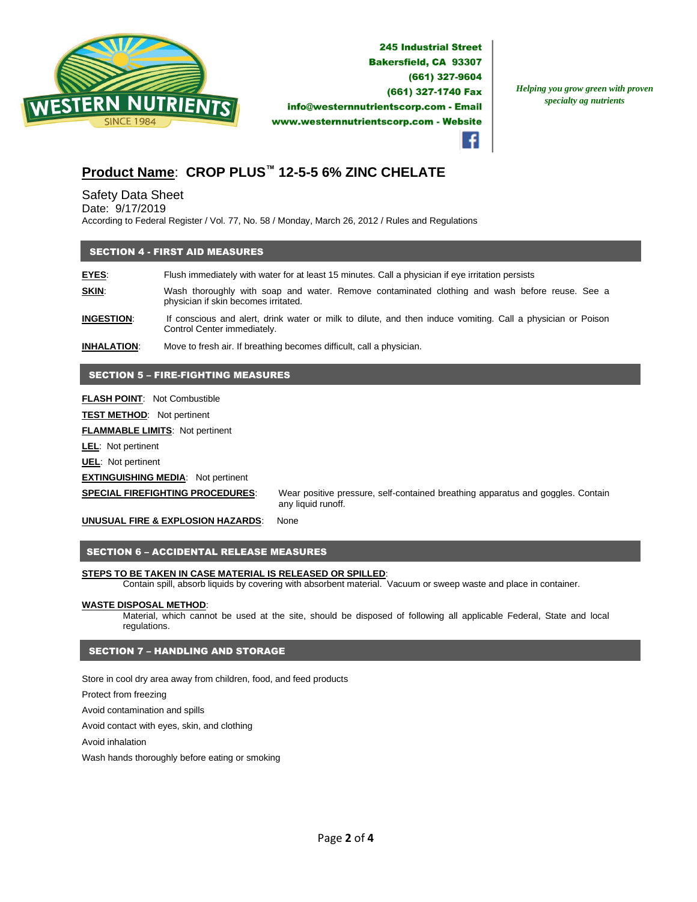

*Helping you grow green with proven specialty ag nutrients*

# **Product Name**: **CROP PLUS™ 12-5-5 6% ZINC CHELATE**

# Safety Data Sheet

Date: 9/17/2019

According to Federal Register / Vol. 77, No. 58 / Monday, March 26, 2012 / Rules and Regulations

### SECTION 4 - FIRST AID MEASURES

**EYES**: Flush immediately with water for at least 15 minutes. Call a physician if eye irritation persists **SKIN:** Wash thoroughly with soap and water. Remove contaminated clothing and wash before reuse. See a physician if skin becomes irritated.

**INGESTION**: If conscious and alert, drink water or milk to dilute, and then induce vomiting. Call a physician or Poison Control Center immediately.

**INHALATION**: Move to fresh air. If breathing becomes difficult, call a physician.

## SECTION 5 – FIRE-FIGHTING MEASURES

**FLASH POINT**: Not Combustible

**TEST METHOD**: Not pertinent

**FLAMMABLE LIMITS**: Not pertinent

**LEL**: Not pertinent

**UEL**: Not pertinent

#### **EXTINGUISHING MEDIA**: Not pertinent

**SPECIAL FIREFIGHTING PROCEDURES**: Wear positive pressure, self-contained breathing apparatus and goggles. Contain any liquid runoff.

**UNUSUAL FIRE & EXPLOSION HAZARDS**: None

#### SECTION 6 – ACCIDENTAL RELEASE MEASURES

#### **STEPS TO BE TAKEN IN CASE MATERIAL IS RELEASED OR SPILLED**:

Contain spill, absorb liquids by covering with absorbent material. Vacuum or sweep waste and place in container.

#### **WASTE DISPOSAL METHOD**:

Material, which cannot be used at the site, should be disposed of following all applicable Federal, State and local regulations.

## SECTION 7 – HANDLING AND STORAGE

Store in cool dry area away from children, food, and feed products

Protect from freezing

Avoid contamination and spills

Avoid contact with eyes, skin, and clothing

Avoid inhalation

Wash hands thoroughly before eating or smoking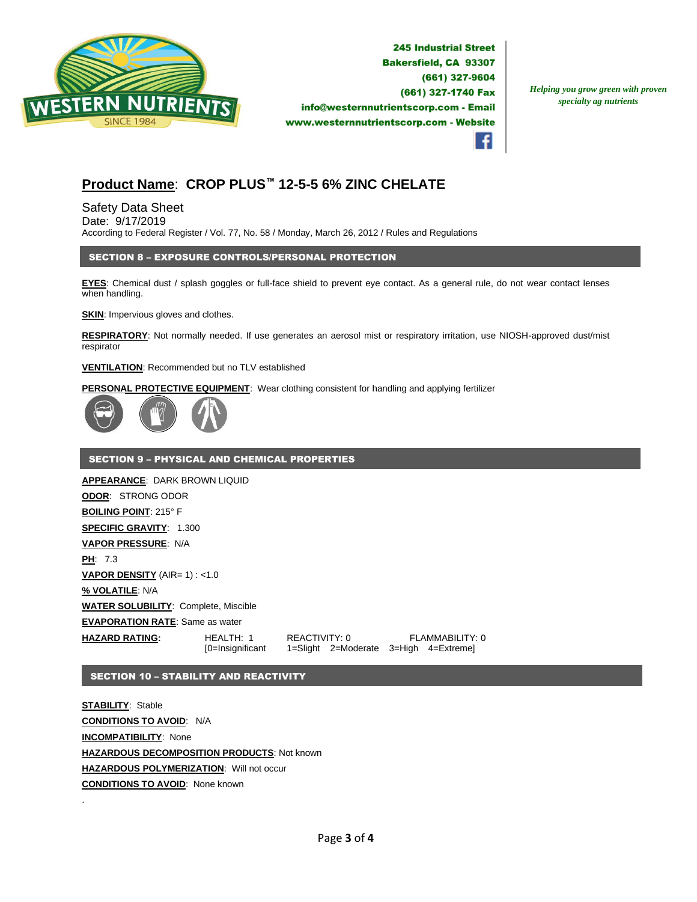

*Helping you grow green with proven specialty ag nutrients*



# **Product Name**: **CROP PLUS™ 12-5-5 6% ZINC CHELATE**

Safety Data Sheet Date: 9/17/2019 According to Federal Register / Vol. 77, No. 58 / Monday, March 26, 2012 / Rules and Regulations

## SECTION 8 – EXPOSURE CONTROLS/PERSONAL PROTECTION

**EYES**: Chemical dust / splash goggles or full-face shield to prevent eye contact. As a general rule, do not wear contact lenses when handling.

**SKIN:** Impervious gloves and clothes.

**RESPIRATORY**: Not normally needed. If use generates an aerosol mist or respiratory irritation, use NIOSH-approved dust/mist respirator

#### **VENTILATION**: Recommended but no TLV established

**PERSONAL PROTECTIVE EQUIPMENT**: Wear clothing consistent for handling and applying fertilizer



#### SECTION 9 – PHYSICAL AND CHEMICAL PROPERTIES

**APPEARANCE**: DARK BROWN LIQUID **ODOR**: STRONG ODOR **BOILING POINT**: 215° F **SPECIFIC GRAVITY**: 1.300 **VAPOR PRESSURE**: N/A **PH**: 7.3 **VAPOR DENSITY** (AIR= 1) : <1.0 **% VOLATILE**: N/A **WATER SOLUBILITY**: Complete, Miscible **EVAPORATION RATE**: Same as water **HAZARD RATING:** HEALTH: 1 REACTIVITY: 0 FLAMMABILITY: 0 [0=Insignificant 1=Slight 2=Moderate 3=High 4=Extreme]

### SECTION 10 – STABILITY AND REACTIVITY

**STABILITY**: Stable **CONDITIONS TO AVOID**: N/A **INCOMPATIBILITY**: None **HAZARDOUS DECOMPOSITION PRODUCTS**: Not known **HAZARDOUS POLYMERIZATION**: Will not occur **CONDITIONS TO AVOID**: None known

.